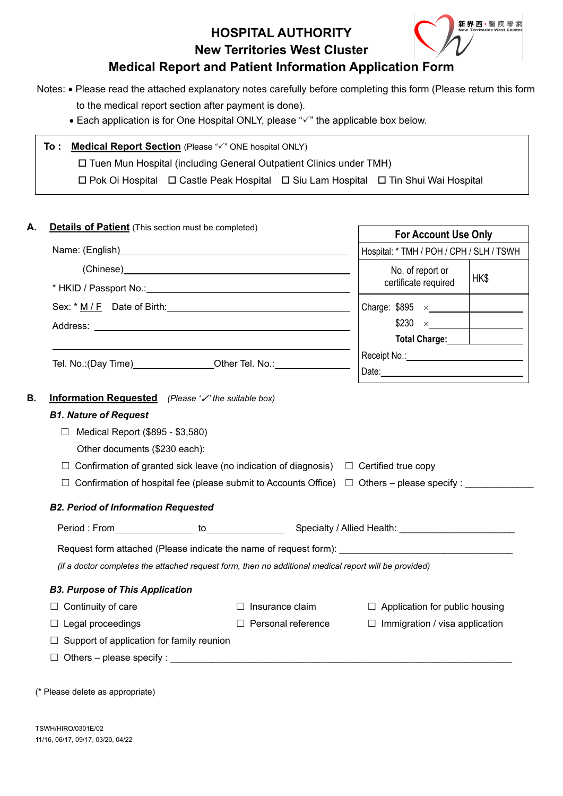**HOSPITAL AUTHORITY New Territories West Cluster** 



# **Medical Report and Patient Information Application Form**

Notes: • Please read the attached explanatory notes carefully before completing this form (Please return this form

to the medical report section after payment is done).

 $\bullet$  Each application is for One Hospital ONLY, please " $\checkmark$ " the applicable box below.

## **To : Medical Report Section** (Please " $\checkmark$ " ONE hospital ONLY)

Tuen Mun Hospital (including General Outpatient Clinics under TMH)

Pok Oi Hospital Castle Peak Hospital Siu Lam Hospital Tin Shui Wai Hospital

| <b>Details of Patient</b> (This section must be completed)                       |                                                                                                                                                                                                       | <b>For Account Use Only</b>                                                                                    |      |  |
|----------------------------------------------------------------------------------|-------------------------------------------------------------------------------------------------------------------------------------------------------------------------------------------------------|----------------------------------------------------------------------------------------------------------------|------|--|
|                                                                                  |                                                                                                                                                                                                       | Hospital: * TMH / POH / CPH / SLH / TSWH                                                                       |      |  |
|                                                                                  |                                                                                                                                                                                                       | No. of report or                                                                                               | HK\$ |  |
|                                                                                  |                                                                                                                                                                                                       | certificate required                                                                                           |      |  |
|                                                                                  |                                                                                                                                                                                                       |                                                                                                                |      |  |
|                                                                                  |                                                                                                                                                                                                       |                                                                                                                |      |  |
|                                                                                  |                                                                                                                                                                                                       |                                                                                                                |      |  |
|                                                                                  |                                                                                                                                                                                                       | Receipt No.: _______________________________                                                                   |      |  |
| Tel. No.: (Day Time)_____________________Other Tel. No.: _______________________ |                                                                                                                                                                                                       | Date: 2008 2010 2010 2021 2022 2023 2024 2022 2022 2023 2024 2022 2023 2024 2022 2023 2024 2022 2023 2024 2022 |      |  |
| <b>B2. Period of Information Requested</b>                                       | $\Box$ Confirmation of granted sick leave (no indication of diagnosis) $\Box$ Certified true copy<br>Confirmation of hospital fee (please submit to Accounts Office) $\Box$ Others – please specify : |                                                                                                                |      |  |
|                                                                                  |                                                                                                                                                                                                       |                                                                                                                |      |  |
|                                                                                  | Request form attached (Please indicate the name of request form): __________________________________                                                                                                  |                                                                                                                |      |  |
|                                                                                  | (if a doctor completes the attached request form, then no additional medical report will be provided)                                                                                                 |                                                                                                                |      |  |
| <b>B3. Purpose of This Application</b>                                           |                                                                                                                                                                                                       |                                                                                                                |      |  |
| Continuity of care                                                               | Insurance claim                                                                                                                                                                                       | $\Box$ Application for public housing                                                                          |      |  |
| $\Box$ Legal proceedings                                                         | $\Box$ Personal reference                                                                                                                                                                             | $\Box$ Immigration / visa application                                                                          |      |  |
| $\Box$ Support of application for family reunion                                 |                                                                                                                                                                                                       |                                                                                                                |      |  |

(\* Please delete as appropriate)

 $\Box$  Others – please specify :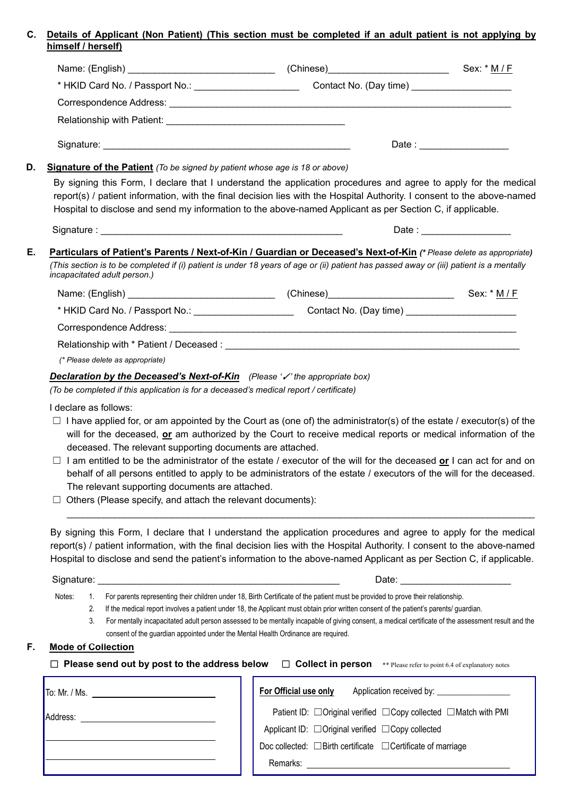#### **C. Details of Applicant (Non Patient) (This section must be completed if an adult patient is not applying by himself / herself)**

|                       |                                                                                        |                                                                                                                                                                                                                                                                                                                                                                     | Sex: * M / F                                                                                                                                                                                                                   |
|-----------------------|----------------------------------------------------------------------------------------|---------------------------------------------------------------------------------------------------------------------------------------------------------------------------------------------------------------------------------------------------------------------------------------------------------------------------------------------------------------------|--------------------------------------------------------------------------------------------------------------------------------------------------------------------------------------------------------------------------------|
|                       |                                                                                        |                                                                                                                                                                                                                                                                                                                                                                     |                                                                                                                                                                                                                                |
|                       |                                                                                        |                                                                                                                                                                                                                                                                                                                                                                     |                                                                                                                                                                                                                                |
|                       |                                                                                        |                                                                                                                                                                                                                                                                                                                                                                     |                                                                                                                                                                                                                                |
|                       |                                                                                        |                                                                                                                                                                                                                                                                                                                                                                     | Date : ____________________                                                                                                                                                                                                    |
|                       | <b>Signature of the Patient</b> (To be signed by patient whose age is 18 or above)     |                                                                                                                                                                                                                                                                                                                                                                     |                                                                                                                                                                                                                                |
|                       |                                                                                        | By signing this Form, I declare that I understand the application procedures and agree to apply for the medical<br>report(s) / patient information, with the final decision lies with the Hospital Authority. I consent to the above-named<br>Hospital to disclose and send my information to the above-named Applicant as per Section C, if applicable.            |                                                                                                                                                                                                                                |
|                       |                                                                                        |                                                                                                                                                                                                                                                                                                                                                                     | Date: ____________________                                                                                                                                                                                                     |
|                       |                                                                                        | Particulars of Patient's Parents / Next-of-Kin / Guardian or Deceased's Next-of-Kin (* Please delete as appropriate)                                                                                                                                                                                                                                                |                                                                                                                                                                                                                                |
|                       | incapacitated adult person.)                                                           | (This section is to be completed if (i) patient is under 18 years of age or (ii) patient has passed away or (iii) patient is a mentally                                                                                                                                                                                                                             |                                                                                                                                                                                                                                |
|                       |                                                                                        |                                                                                                                                                                                                                                                                                                                                                                     |                                                                                                                                                                                                                                |
|                       |                                                                                        | * HKID Card No. / Passport No.: _______________________________Contact No. (Day time) ____________________                                                                                                                                                                                                                                                          |                                                                                                                                                                                                                                |
|                       |                                                                                        |                                                                                                                                                                                                                                                                                                                                                                     |                                                                                                                                                                                                                                |
|                       |                                                                                        |                                                                                                                                                                                                                                                                                                                                                                     |                                                                                                                                                                                                                                |
|                       | (* Please delete as appropriate)                                                       |                                                                                                                                                                                                                                                                                                                                                                     |                                                                                                                                                                                                                                |
|                       |                                                                                        | <b>Declaration by the Deceased's Next-of-Kin</b> (Please '/' the appropriate box)                                                                                                                                                                                                                                                                                   |                                                                                                                                                                                                                                |
|                       | (To be completed if this application is for a deceased's medical report / certificate) |                                                                                                                                                                                                                                                                                                                                                                     |                                                                                                                                                                                                                                |
| I declare as follows: |                                                                                        |                                                                                                                                                                                                                                                                                                                                                                     |                                                                                                                                                                                                                                |
|                       | deceased. The relevant supporting documents are attached.                              | $\Box$ I have applied for, or am appointed by the Court as (one of) the administrator(s) of the estate / executor(s) of the<br>will for the deceased, or am authorized by the Court to receive medical reports or medical information of the                                                                                                                        |                                                                                                                                                                                                                                |
|                       | The relevant supporting documents are attached.                                        | I am entitled to be the administrator of the estate / executor of the will for the deceased or I can act for and on<br>behalf of all persons entitled to apply to be administrators of the estate / executors of the will for the deceased.                                                                                                                         |                                                                                                                                                                                                                                |
|                       | Others (Please specify, and attach the relevant documents):                            |                                                                                                                                                                                                                                                                                                                                                                     |                                                                                                                                                                                                                                |
|                       |                                                                                        | By signing this Form, I declare that I understand the application procedures and agree to apply for the medical<br>report(s) / patient information, with the final decision lies with the Hospital Authority. I consent to the above-named<br>Hospital to disclose and send the patient's information to the above-named Applicant as per Section C, if applicable. |                                                                                                                                                                                                                                |
|                       |                                                                                        |                                                                                                                                                                                                                                                                                                                                                                     | Date: the contract of the contract of the contract of the contract of the contract of the contract of the contract of the contract of the contract of the contract of the contract of the contract of the contract of the cont |
| Notes:<br>1.          |                                                                                        | For parents representing their children under 18, Birth Certificate of the patient must be provided to prove their relationship.                                                                                                                                                                                                                                    |                                                                                                                                                                                                                                |
| 2.<br>3.              |                                                                                        | If the medical report involves a patient under 18, the Applicant must obtain prior written consent of the patient's parents/ guardian.<br>For mentally incapacitated adult person assessed to be mentally incapable of giving consent, a medical certificate of the assessment result and the                                                                       |                                                                                                                                                                                                                                |
|                       | consent of the guardian appointed under the Mental Health Ordinance are required.      |                                                                                                                                                                                                                                                                                                                                                                     |                                                                                                                                                                                                                                |

| $\Box$ Please send out by post to the address below $\Box$ Collect in person<br>** Please refer to point 6.4 of explanatory notes |                                                                                  |  |  |  |  |
|-----------------------------------------------------------------------------------------------------------------------------------|----------------------------------------------------------------------------------|--|--|--|--|
| To: Mr. / Ms.                                                                                                                     | For Official use only<br>Application received by:                                |  |  |  |  |
| Address:                                                                                                                          | Patient ID: $\Box$ Original verified $\Box$ Copy collected $\Box$ Match with PMI |  |  |  |  |
|                                                                                                                                   | Applicant ID: □ Original verified □ Copy collected                               |  |  |  |  |
|                                                                                                                                   | Doc collected: $\Box$ Birth certificate $\Box$ Certificate of marriage           |  |  |  |  |
|                                                                                                                                   | Remarks:                                                                         |  |  |  |  |
|                                                                                                                                   |                                                                                  |  |  |  |  |

 $\mathbf{F}$ .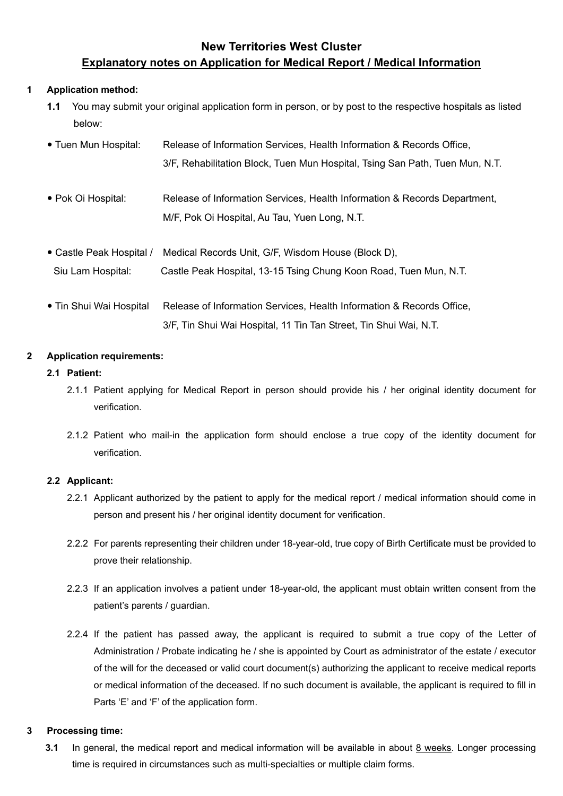## **New Territories West Cluster Explanatory notes on Application for Medical Report / Medical Information**

## **1 Application method:**

- **1.1** You may submit your original application form in person, or by post to the respective hospitals as listed below:
- Tuen Mun Hospital: Release of Information Services, Health Information & Records Office, 3/F, Rehabilitation Block, Tuen Mun Hospital, Tsing San Path, Tuen Mun, N.T.
- Pok Oi Hospital: Release of Information Services, Health Information & Records Department, M/F, Pok Oi Hospital, Au Tau, Yuen Long, N.T.
- Castle Peak Hospital / Medical Records Unit, G/F, Wisdom House (Block D), Siu Lam Hospital: Castle Peak Hospital, 13-15 Tsing Chung Koon Road, Tuen Mun, N.T.
- Tin Shui Wai Hospital Release of Information Services, Health Information & Records Office, 3/F, Tin Shui Wai Hospital, 11 Tin Tan Street, Tin Shui Wai, N.T.

## **2 Application requirements:**

#### **2.1 Patient:**

- 2.1.1 Patient applying for Medical Report in person should provide his / her original identity document for verification.
- 2.1.2 Patient who mail-in the application form should enclose a true copy of the identity document for verification.

## **2.2 Applicant:**

- 2.2.1 Applicant authorized by the patient to apply for the medical report / medical information should come in person and present his / her original identity document for verification.
- 2.2.2 For parents representing their children under 18-year-old, true copy of Birth Certificate must be provided to prove their relationship.
- 2.2.3 If an application involves a patient under 18-year-old, the applicant must obtain written consent from the patient's parents / guardian.
- 2.2.4 If the patient has passed away, the applicant is required to submit a true copy of the Letter of Administration / Probate indicating he / she is appointed by Court as administrator of the estate / executor of the will for the deceased or valid court document(s) authorizing the applicant to receive medical reports or medical information of the deceased. If no such document is available, the applicant is required to fill in Parts 'E' and 'F' of the application form.

#### **3 Processing time:**

**3.1** In general, the medical report and medical information will be available in about 8 weeks. Longer processing time is required in circumstances such as multi-specialties or multiple claim forms.